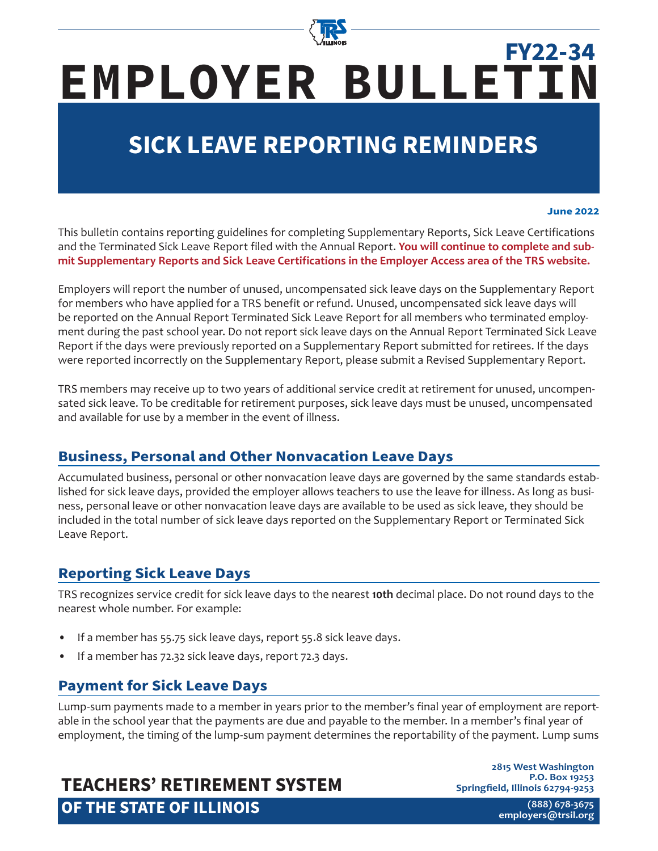

# **EMPLOYER BULLETIN FY22-34**

# **SICK LEAVE REPORTING REMINDERS**

### **June 2022**

This bulletin contains reporting guidelines for completing Supplementary Reports, Sick Leave Certifications and the Terminated Sick Leave Report filed with the Annual Report. **You will continue to complete and submit Supplementary Reports and Sick Leave Certifications in the Employer Access area of the TRS website.**

Employers will report the number of unused, uncompensated sick leave days on the Supplementary Report for members who have applied for a TRS benefit or refund. Unused, uncompensated sick leave days will be reported on the Annual Report Terminated Sick Leave Report for all members who terminated employment during the past school year. Do not report sick leave days on the Annual Report Terminated Sick Leave Report if the days were previously reported on a Supplementary Report submitted for retirees. If the days were reported incorrectly on the Supplementary Report, please submit a Revised Supplementary Report.

TRS members may receive up to two years of additional service credit at retirement for unused, uncompensated sick leave. To be creditable for retirement purposes, sick leave days must be unused, uncompensated and available for use by a member in the event of illness.

### **Business, Personal and Other Nonvacation Leave Days**

Accumulated business, personal or other nonvacation leave days are governed by the same standards established for sick leave days, provided the employer allows teachers to use the leave for illness. As long as business, personal leave or other nonvacation leave days are available to be used as sick leave, they should be included in the total number of sick leave days reported on the Supplementary Report or Terminated Sick Leave Report.

### **Reporting Sick Leave Days**

TRS recognizes service credit for sick leave days to the nearest **10th** decimal place. Do not round days to the nearest whole number. For example:

- If a member has 55.75 sick leave days, report 55.8 sick leave days.
- If a member has 72.32 sick leave days, report 72.3 days.

### **Payment for Sick Leave Days**

Lump-sum payments made to a member in years prior to the member's final year of employment are reportable in the school year that the payments are due and payable to the member. In a member's final year of employment, the timing of the lump-sum payment determines the reportability of the payment. Lump sums

# **TEACHERS' RETIREMENT SYSTEM OF THE STATE OF ILLINOIS**

**2815 West Washington P.O. Box 19253 Springfield, Illinois 62794-9253**

> **(888) 678-3675 [employers@trsi](mailto:employers%40trsil.org?subject=)l.org**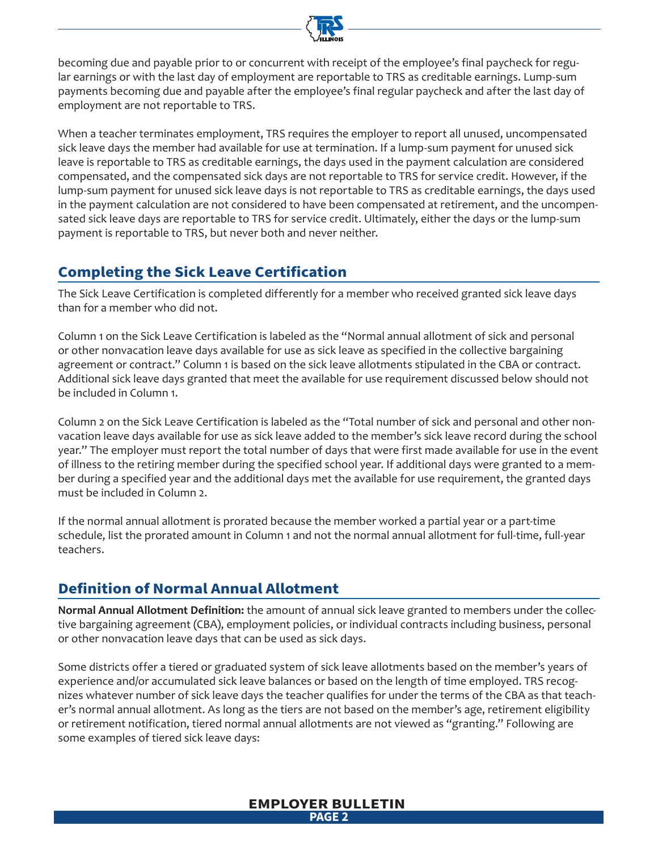

becoming due and payable prior to or concurrent with receipt of the employee's final paycheck for regular earnings or with the last day of employment are reportable to TRS as creditable earnings. Lump-sum payments becoming due and payable after the employee's final regular paycheck and after the last day of employment are not reportable to TRS.

When a teacher terminates employment, TRS requires the employer to report all unused, uncompensated sick leave days the member had available for use at termination. If a lump-sum payment for unused sick leave is reportable to TRS as creditable earnings, the days used in the payment calculation are considered compensated, and the compensated sick days are not reportable to TRS for service credit. However, if the lump-sum payment for unused sick leave days is not reportable to TRS as creditable earnings, the days used in the payment calculation are not considered to have been compensated at retirement, and the uncompensated sick leave days are reportable to TRS for service credit. Ultimately, either the days or the lump-sum payment is reportable to TRS, but never both and never neither.

# **Completing the Sick Leave Certification**

The Sick Leave Certification is completed differently for a member who received granted sick leave days than for a member who did not.

Column 1 on the Sick Leave Certification is labeled as the "Normal annual allotment of sick and personal or other nonvacation leave days available for use as sick leave as specified in the collective bargaining agreement or contract." Column 1 is based on the sick leave allotments stipulated in the CBA or contract. Additional sick leave days granted that meet the available for use requirement discussed below should not be included in Column 1.

Column 2 on the Sick Leave Certification is labeled as the "Total number of sick and personal and other nonvacation leave days available for use as sick leave added to the member's sick leave record during the school year." The employer must report the total number of days that were first made available for use in the event of illness to the retiring member during the specified school year. If additional days were granted to a member during a specified year and the additional days met the available for use requirement, the granted days must be included in Column 2.

If the normal annual allotment is prorated because the member worked a partial year or a part-time schedule, list the prorated amount in Column 1 and not the normal annual allotment for full-time, full-year teachers.

# **Definition of Normal Annual Allotment**

**Normal Annual Allotment Definition:** the amount of annual sick leave granted to members under the collective bargaining agreement (CBA), employment policies, or individual contracts including business, personal or other nonvacation leave days that can be used as sick days.

Some districts offer a tiered or graduated system of sick leave allotments based on the member's years of experience and/or accumulated sick leave balances or based on the length of time employed. TRS recognizes whatever number of sick leave days the teacher qualifies for under the terms of the CBA as that teacher's normal annual allotment. As long as the tiers are not based on the member's age, retirement eligibility or retirement notification, tiered normal annual allotments are not viewed as "granting." Following are some examples of tiered sick leave days:

### **EMPLOYER BULLETIN PAGE 2**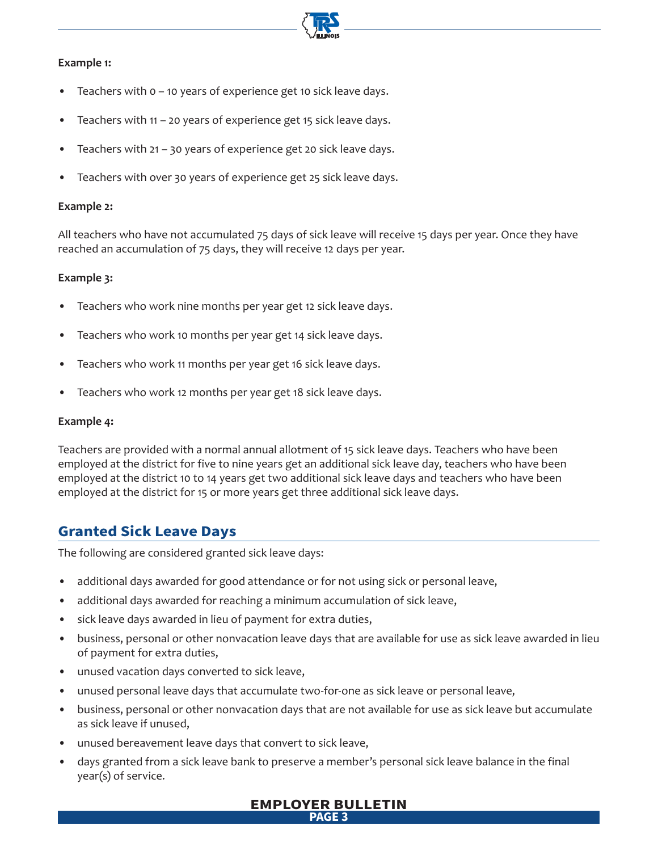### **Example 1:**

- Teachers with  $o$  10 years of experience get 10 sick leave days.
- Teachers with  $11 20$  years of experience get 15 sick leave days.
- Teachers with 21 30 years of experience get 20 sick leave days.
- Teachers with over 30 years of experience get 25 sick leave days.

### **Example 2:**

All teachers who have not accumulated 75 days of sick leave will receive 15 days per year. Once they have reached an accumulation of 75 days, they will receive 12 days per year.

### **Example 3:**

- Teachers who work nine months per year get 12 sick leave days.
- Teachers who work 10 months per year get 14 sick leave days.
- Teachers who work 11 months per year get 16 sick leave days.
- Teachers who work 12 months per year get 18 sick leave days.

### **Example 4:**

Teachers are provided with a normal annual allotment of 15 sick leave days. Teachers who have been employed at the district for five to nine years get an additional sick leave day, teachers who have been employed at the district 10 to 14 years get two additional sick leave days and teachers who have been employed at the district for 15 or more years get three additional sick leave days.

### **Granted Sick Leave Days**

The following are considered granted sick leave days:

- additional days awarded for good attendance or for not using sick or personal leave,
- additional days awarded for reaching a minimum accumulation of sick leave,
- sick leave days awarded in lieu of payment for extra duties,
- business, personal or other nonvacation leave days that are available for use as sick leave awarded in lieu of payment for extra duties,
- unused vacation days converted to sick leave,
- unused personal leave days that accumulate two-for-one as sick leave or personal leave,
- business, personal or other nonvacation days that are not available for use as sick leave but accumulate as sick leave if unused,
- unused bereavement leave days that convert to sick leave,
- days granted from a sick leave bank to preserve a member's personal sick leave balance in the final year(s) of service.